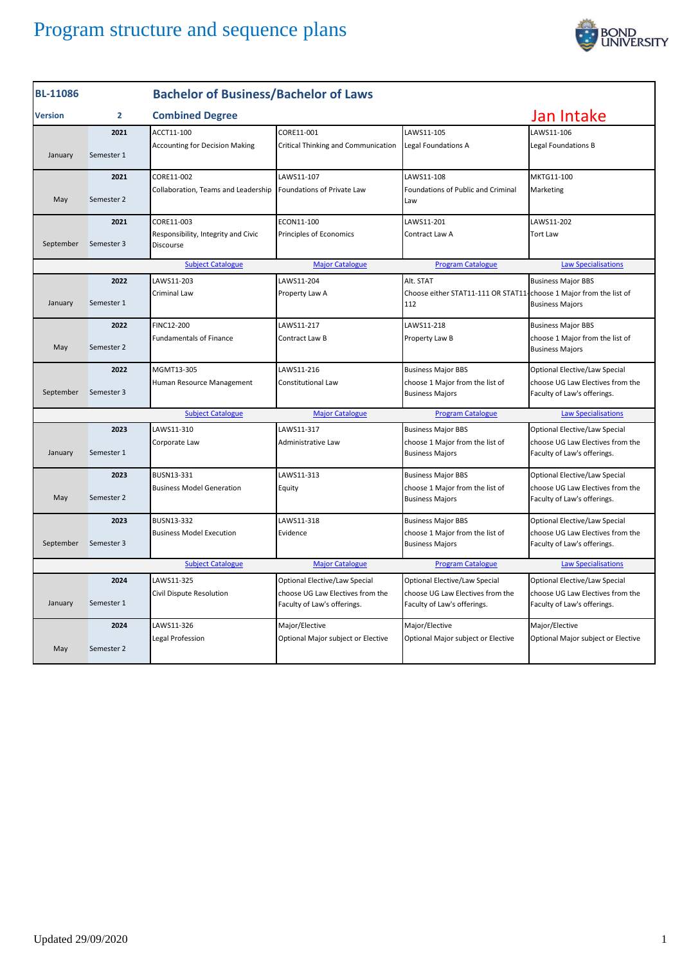

| <b>BL-11086</b>                                                                                              |                | <b>Bachelor of Business/Bachelor of Laws</b>     |                                                                 |                                                                 |                                                                 |  |
|--------------------------------------------------------------------------------------------------------------|----------------|--------------------------------------------------|-----------------------------------------------------------------|-----------------------------------------------------------------|-----------------------------------------------------------------|--|
| <b>Version</b>                                                                                               | $\overline{2}$ | <b>Combined Degree</b>                           |                                                                 | Jan Intake                                                      |                                                                 |  |
|                                                                                                              | 2021           | ACCT11-100                                       | CORE11-001                                                      | LAWS11-105                                                      | LAWS11-106                                                      |  |
| January                                                                                                      | Semester 1     | <b>Accounting for Decision Making</b>            | <b>Critical Thinking and Communication</b>                      | Legal Foundations A                                             | Legal Foundations B                                             |  |
|                                                                                                              | 2021           | CORE11-002                                       | LAWS11-107                                                      | LAWS11-108                                                      | MKTG11-100                                                      |  |
| May                                                                                                          | Semester 2     | Collaboration, Teams and Leadership              | Foundations of Private Law                                      | Foundations of Public and Criminal<br>Law                       | Marketing                                                       |  |
|                                                                                                              | 2021           | CORE11-003                                       | ECON11-100                                                      | LAWS11-201                                                      | LAWS11-202                                                      |  |
| September                                                                                                    | Semester 3     | Responsibility, Integrity and Civic<br>Discourse | Principles of Economics                                         | Contract Law A                                                  | <b>Tort Law</b>                                                 |  |
|                                                                                                              |                | <b>Subject Catalogue</b>                         | <b>Major Catalogue</b>                                          | <b>Program Catalogue</b>                                        | <b>Law Specialisations</b>                                      |  |
|                                                                                                              | 2022           | LAWS11-203                                       | LAWS11-204                                                      | Alt. STAT                                                       | <b>Business Major BBS</b>                                       |  |
| January                                                                                                      | Semester 1     | Criminal Law                                     | Property Law A                                                  | Choose either STAT11-111 OR STAT11<br>112                       | choose 1 Major from the list of<br><b>Business Majors</b>       |  |
|                                                                                                              | 2022           | FINC12-200                                       | LAWS11-217                                                      | LAWS11-218                                                      | <b>Business Major BBS</b>                                       |  |
| May                                                                                                          | Semester 2     | <b>Fundamentals of Finance</b>                   | Contract Law B                                                  | Property Law B                                                  | choose 1 Major from the list of<br><b>Business Majors</b>       |  |
|                                                                                                              | 2022           | MGMT13-305                                       | LAWS11-216                                                      | <b>Business Major BBS</b>                                       | Optional Elective/Law Special                                   |  |
| September                                                                                                    | Semester 3     | Human Resource Management                        | <b>Constitutional Law</b>                                       | choose 1 Major from the list of<br><b>Business Majors</b>       | choose UG Law Electives from the<br>Faculty of Law's offerings. |  |
|                                                                                                              |                | <b>Subject Catalogue</b>                         | <b>Major Catalogue</b>                                          | <b>Program Catalogue</b>                                        | <b>Law Specialisations</b>                                      |  |
|                                                                                                              | 2023           | LAWS11-310                                       | LAWS11-317                                                      | <b>Business Major BBS</b>                                       | Optional Elective/Law Special                                   |  |
| January                                                                                                      | Semester 1     | Corporate Law                                    | Administrative Law                                              | choose 1 Major from the list of<br><b>Business Majors</b>       | choose UG Law Electives from the<br>Faculty of Law's offerings. |  |
|                                                                                                              | 2023           | BUSN13-331                                       | LAWS11-313                                                      | <b>Business Major BBS</b>                                       | Optional Elective/Law Special                                   |  |
| May                                                                                                          | Semester 2     | <b>Business Model Generation</b>                 | Equity                                                          | choose 1 Major from the list of<br><b>Business Majors</b>       | choose UG Law Electives from the<br>Faculty of Law's offerings. |  |
|                                                                                                              | 2023           | <b>BUSN13-332</b>                                | LAWS11-318                                                      | <b>Business Major BBS</b>                                       | Optional Elective/Law Special                                   |  |
| September                                                                                                    | Semester 3     | <b>Business Model Execution</b>                  | Evidence                                                        | choose 1 Major from the list of<br><b>Business Majors</b>       | choose UG Law Electives from the<br>Faculty of Law's offerings. |  |
| <b>Subject Catalogue</b><br><b>Major Catalogue</b><br><b>Program Catalogue</b><br><b>Law Specialisations</b> |                |                                                  |                                                                 |                                                                 |                                                                 |  |
|                                                                                                              | 2024           | LAWS11-325                                       | <b>Optional Elective/Law Special</b>                            | Optional Elective/Law Special                                   | Optional Elective/Law Special                                   |  |
| January                                                                                                      | Semester 1     | Civil Dispute Resolution                         | choose UG Law Electives from the<br>Faculty of Law's offerings. | choose UG Law Electives from the<br>Faculty of Law's offerings. | choose UG Law Electives from the<br>Faculty of Law's offerings. |  |
|                                                                                                              | 2024           | LAWS11-326                                       | Major/Elective                                                  | Major/Elective                                                  | Major/Elective                                                  |  |
| May                                                                                                          | Semester 2     | Legal Profession                                 | Optional Major subject or Elective                              | Optional Major subject or Elective                              | Optional Major subject or Elective                              |  |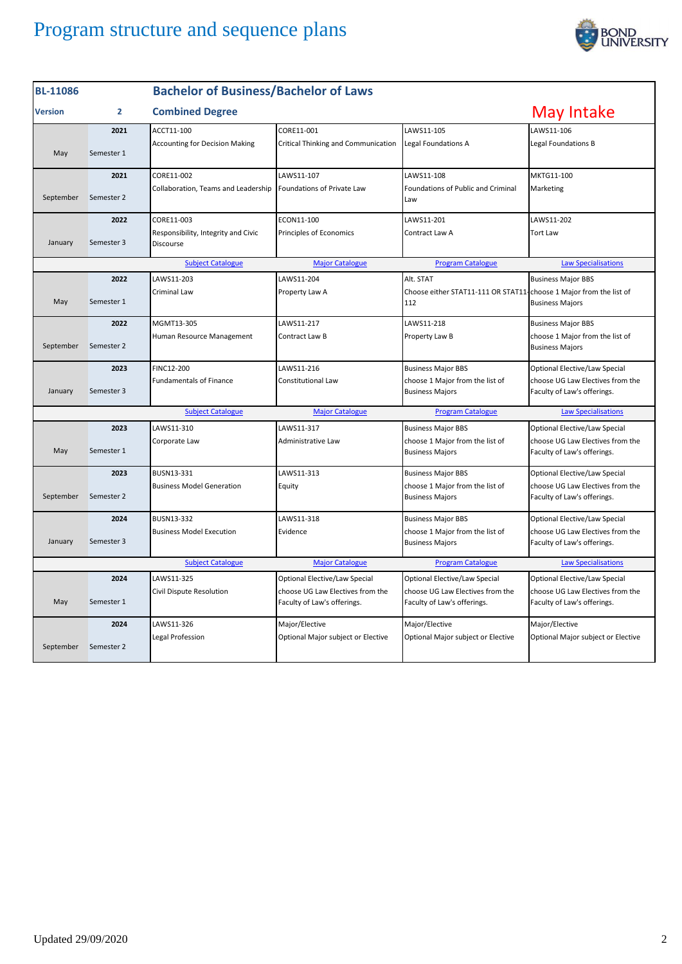

| <b>BL-11086</b>                                                                                              |                | <b>Bachelor of Business/Bachelor of Laws</b>     |                                                                 |                                                                           |                                                                 |  |
|--------------------------------------------------------------------------------------------------------------|----------------|--------------------------------------------------|-----------------------------------------------------------------|---------------------------------------------------------------------------|-----------------------------------------------------------------|--|
| <b>Version</b>                                                                                               | $\overline{2}$ | <b>Combined Degree</b>                           |                                                                 |                                                                           | May Intake                                                      |  |
|                                                                                                              | 2021           | ACCT11-100                                       | CORE11-001                                                      | LAWS11-105                                                                | LAWS11-106                                                      |  |
| May                                                                                                          | Semester 1     | <b>Accounting for Decision Making</b>            | Critical Thinking and Communication                             | <b>Legal Foundations A</b>                                                | Legal Foundations B                                             |  |
|                                                                                                              | 2021           | CORE11-002                                       | LAWS11-107                                                      | LAWS11-108                                                                | MKTG11-100                                                      |  |
| September                                                                                                    | Semester 2     | Collaboration, Teams and Leadership              | Foundations of Private Law                                      | Foundations of Public and Criminal<br>Law                                 | Marketing                                                       |  |
|                                                                                                              | 2022           | CORE11-003                                       | ECON11-100                                                      | LAWS11-201                                                                | LAWS11-202                                                      |  |
| January                                                                                                      | Semester 3     | Responsibility, Integrity and Civic<br>Discourse | Principles of Economics                                         | Contract Law A                                                            | <b>Tort Law</b>                                                 |  |
|                                                                                                              |                | <b>Subject Catalogue</b>                         | <b>Major Catalogue</b>                                          | <b>Program Catalogue</b>                                                  | <b>Law Specialisations</b>                                      |  |
|                                                                                                              | 2022           | LAWS11-203                                       | LAWS11-204                                                      | Alt. STAT                                                                 | <b>Business Major BBS</b>                                       |  |
| May                                                                                                          | Semester 1     | Criminal Law                                     | Property Law A                                                  | Choose either STAT11-111 OR STAT11-choose 1 Major from the list of<br>112 | <b>Business Majors</b>                                          |  |
|                                                                                                              | 2022           | MGMT13-305                                       | LAWS11-217                                                      | LAWS11-218                                                                | <b>Business Major BBS</b>                                       |  |
| September                                                                                                    | Semester 2     | Human Resource Management                        | Contract Law B                                                  | Property Law B                                                            | choose 1 Major from the list of<br><b>Business Majors</b>       |  |
|                                                                                                              | 2023           | FINC12-200                                       | LAWS11-216                                                      | <b>Business Major BBS</b>                                                 | Optional Elective/Law Special                                   |  |
| January                                                                                                      | Semester 3     | <b>Fundamentals of Finance</b>                   | Constitutional Law                                              | choose 1 Major from the list of<br><b>Business Majors</b>                 | choose UG Law Electives from the<br>Faculty of Law's offerings. |  |
|                                                                                                              |                | <b>Subject Catalogue</b>                         | <b>Major Catalogue</b>                                          | <b>Program Catalogue</b>                                                  | <b>Law Specialisations</b>                                      |  |
|                                                                                                              | 2023           | LAWS11-310                                       | LAWS11-317                                                      | <b>Business Major BBS</b>                                                 | Optional Elective/Law Special                                   |  |
| May                                                                                                          | Semester 1     | Corporate Law                                    | Administrative Law                                              | choose 1 Major from the list of<br><b>Business Majors</b>                 | choose UG Law Electives from the<br>Faculty of Law's offerings. |  |
|                                                                                                              | 2023           | BUSN13-331                                       | LAWS11-313                                                      | <b>Business Major BBS</b>                                                 | Optional Elective/Law Special                                   |  |
| September                                                                                                    | Semester 2     | <b>Business Model Generation</b>                 | Equity                                                          | choose 1 Major from the list of<br><b>Business Majors</b>                 | choose UG Law Electives from the<br>Faculty of Law's offerings. |  |
|                                                                                                              | 2024           | BUSN13-332                                       | LAWS11-318                                                      | <b>Business Major BBS</b>                                                 | Optional Elective/Law Special                                   |  |
| January                                                                                                      | Semester 3     | <b>Business Model Execution</b>                  | Evidence                                                        | choose 1 Major from the list of<br><b>Business Majors</b>                 | choose UG Law Electives from the<br>Faculty of Law's offerings. |  |
| <b>Subject Catalogue</b><br><b>Major Catalogue</b><br><b>Program Catalogue</b><br><b>Law Specialisations</b> |                |                                                  |                                                                 |                                                                           |                                                                 |  |
|                                                                                                              | 2024           | LAWS11-325                                       | Optional Elective/Law Special                                   | Optional Elective/Law Special                                             | Optional Elective/Law Special                                   |  |
| May                                                                                                          | Semester 1     | Civil Dispute Resolution                         | choose UG Law Electives from the<br>Faculty of Law's offerings. | choose UG Law Electives from the<br>Faculty of Law's offerings.           | choose UG Law Electives from the<br>Faculty of Law's offerings. |  |
|                                                                                                              | 2024           | LAWS11-326                                       | Major/Elective                                                  | Major/Elective                                                            | Major/Elective                                                  |  |
| September                                                                                                    | Semester 2     | Legal Profession                                 | Optional Major subject or Elective                              | Optional Major subject or Elective                                        | Optional Major subject or Elective                              |  |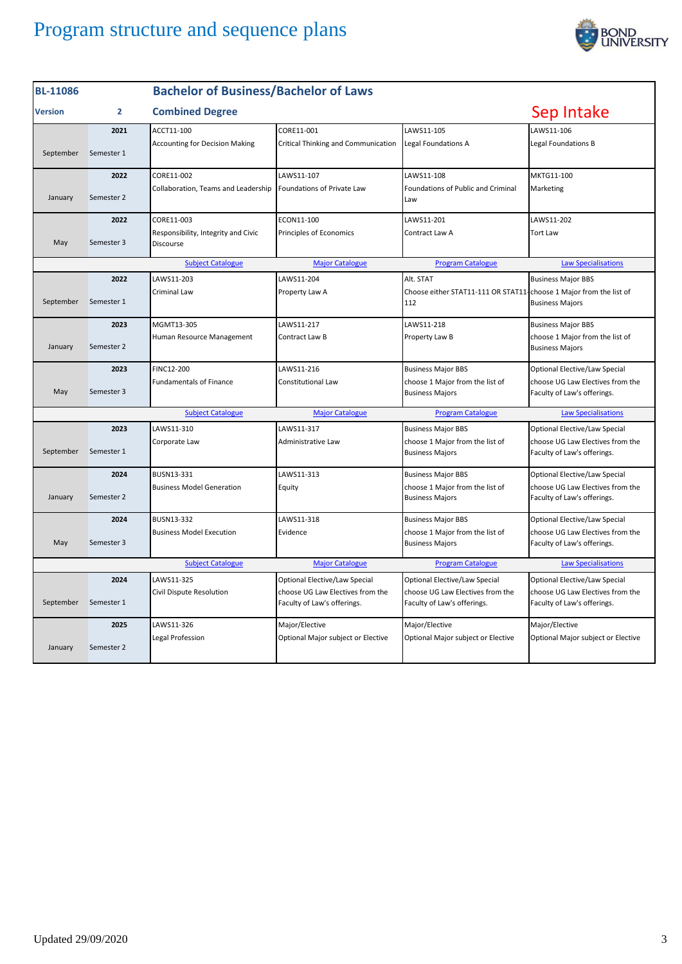

| <b>BL-11086</b> |                | <b>Bachelor of Business/Bachelor of Laws</b>     |                                                                 |                                                                           |                                                                 |
|-----------------|----------------|--------------------------------------------------|-----------------------------------------------------------------|---------------------------------------------------------------------------|-----------------------------------------------------------------|
| <b>Version</b>  | $\overline{2}$ | <b>Combined Degree</b>                           |                                                                 |                                                                           | Sep Intake                                                      |
|                 | 2021           | ACCT11-100                                       | CORE11-001                                                      | LAWS11-105                                                                | LAWS11-106                                                      |
| September       | Semester 1     | <b>Accounting for Decision Making</b>            | Critical Thinking and Communication                             | <b>Legal Foundations A</b>                                                | Legal Foundations B                                             |
|                 | 2022           | CORE11-002                                       | LAWS11-107                                                      | LAWS11-108                                                                | MKTG11-100                                                      |
| January         | Semester 2     | Collaboration, Teams and Leadership              | Foundations of Private Law                                      | Foundations of Public and Criminal<br>Law                                 | Marketing                                                       |
|                 | 2022           | CORE11-003                                       | ECON11-100                                                      | LAWS11-201                                                                | LAWS11-202                                                      |
| May             | Semester 3     | Responsibility, Integrity and Civic<br>Discourse | Principles of Economics                                         | Contract Law A                                                            | <b>Tort Law</b>                                                 |
|                 |                | <b>Subject Catalogue</b>                         | <b>Major Catalogue</b>                                          | <b>Program Catalogue</b>                                                  | <b>Law Specialisations</b>                                      |
|                 | 2022           | LAWS11-203                                       | LAWS11-204                                                      | Alt. STAT                                                                 | <b>Business Major BBS</b>                                       |
| September       | Semester 1     | <b>Criminal Law</b>                              | Property Law A                                                  | Choose either STAT11-111 OR STAT11-choose 1 Major from the list of<br>112 | <b>Business Majors</b>                                          |
|                 | 2023           | MGMT13-305                                       | LAWS11-217                                                      | LAWS11-218                                                                | <b>Business Major BBS</b>                                       |
| January         | Semester 2     | Human Resource Management                        | Contract Law B                                                  | Property Law B                                                            | choose 1 Major from the list of<br><b>Business Majors</b>       |
|                 | 2023           | FINC12-200                                       | LAWS11-216                                                      | <b>Business Major BBS</b>                                                 | Optional Elective/Law Special                                   |
| May             | Semester 3     | <b>Fundamentals of Finance</b>                   | Constitutional Law                                              | choose 1 Major from the list of<br><b>Business Majors</b>                 | choose UG Law Electives from the<br>Faculty of Law's offerings. |
|                 |                | <b>Subject Catalogue</b>                         | <b>Major Catalogue</b>                                          | <b>Program Catalogue</b>                                                  | <b>Law Specialisations</b>                                      |
|                 | 2023           | LAWS11-310                                       | LAWS11-317                                                      | <b>Business Major BBS</b>                                                 | Optional Elective/Law Special                                   |
| September       | Semester 1     | Corporate Law                                    | Administrative Law                                              | choose 1 Major from the list of<br><b>Business Majors</b>                 | choose UG Law Electives from the<br>Faculty of Law's offerings. |
|                 | 2024           | BUSN13-331                                       | LAWS11-313                                                      | <b>Business Major BBS</b>                                                 | Optional Elective/Law Special                                   |
| January         | Semester 2     | <b>Business Model Generation</b>                 | Equity                                                          | choose 1 Major from the list of<br><b>Business Majors</b>                 | choose UG Law Electives from the<br>Faculty of Law's offerings. |
|                 | 2024           | BUSN13-332                                       | LAWS11-318                                                      | <b>Business Major BBS</b>                                                 | Optional Elective/Law Special                                   |
| May             | Semester 3     | <b>Business Model Execution</b>                  | Evidence                                                        | choose 1 Major from the list of<br><b>Business Majors</b>                 | choose UG Law Electives from the<br>Faculty of Law's offerings. |
|                 |                | <b>Subject Catalogue</b>                         | <b>Major Catalogue</b>                                          | <b>Program Catalogue</b>                                                  | <b>Law Specialisations</b>                                      |
|                 | 2024           | LAWS11-325                                       | Optional Elective/Law Special                                   | Optional Elective/Law Special                                             | Optional Elective/Law Special                                   |
| September       | Semester 1     | Civil Dispute Resolution                         | choose UG Law Electives from the<br>Faculty of Law's offerings. | choose UG Law Electives from the<br>Faculty of Law's offerings.           | choose UG Law Electives from the<br>Faculty of Law's offerings. |
|                 | 2025           | LAWS11-326                                       | Major/Elective                                                  | Major/Elective                                                            | Major/Elective                                                  |
| January         | Semester 2     | Legal Profession                                 | Optional Major subject or Elective                              | Optional Major subject or Elective                                        | Optional Major subject or Elective                              |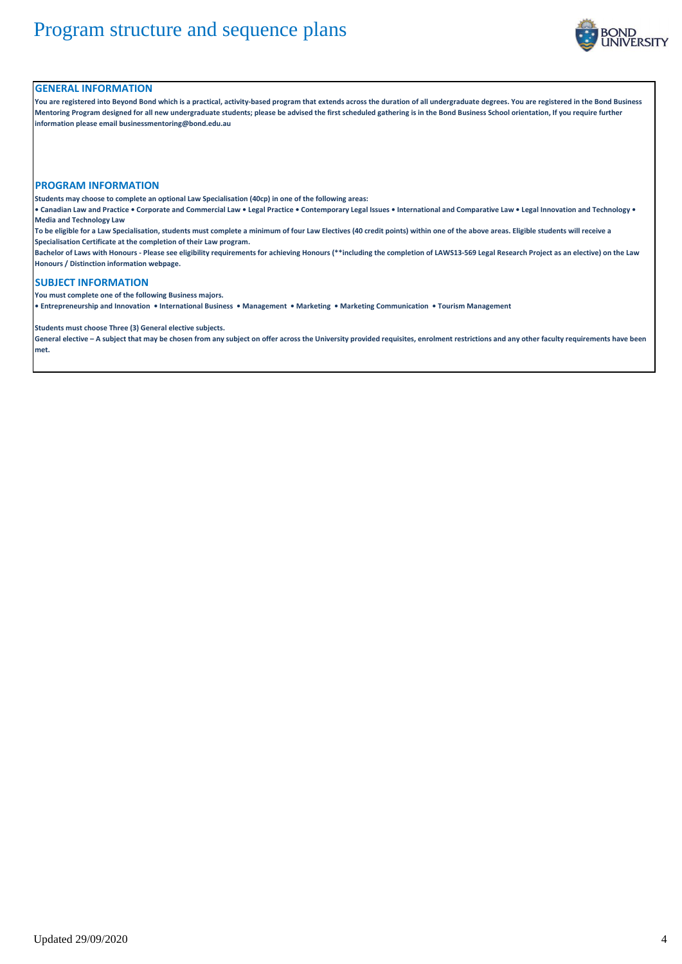

#### **GENERAL INFORMATION**

**You are registered into Beyond Bond which is a practical, activity-based program that extends across the duration of all undergraduate degrees. You are registered in the Bond Business Mentoring Program designed for all new undergraduate students; please be advised the first scheduled gathering is in the Bond Business School orientation, If you require further information please email businessmentoring@bond.edu.au**

#### **PROGRAM INFORMATION**

**Students may choose to complete an optional Law Specialisation (40cp) in one of the following areas:**

**• Canadian Law and Practice • Corporate and Commercial Law • Legal Practice • Contemporary Legal Issues • International and Comparative Law • Legal Innovation and Technology • Media and Technology Law**

**To be eligible for a Law Specialisation, students must complete a minimum of four Law Electives (40 credit points) within one of the above areas. Eligible students will receive a Specialisation Certificate at the completion of their Law program.**

**Bachelor of Laws with Honours - Please see eligibility requirements for achieving Honours (\*\*including the completion of LAWS13-569 Legal Research Project as an elective) on the Law Honours / Distinction information webpage.**

### **SUBJECT INFORMATION**

**You must complete one of the following Business majors.** 

**• Entrepreneurship and Innovation • International Business • Management • Marketing • Marketing Communication • Tourism Management**

**Students must choose Three (3) General elective subjects.**

**General elective – A subject that may be chosen from any subject on offer across the University provided requisites, enrolment restrictions and any other faculty requirements have been met.**